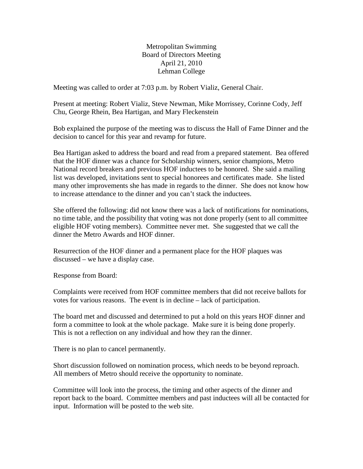Metropolitan Swimming Board of Directors Meeting April 21, 2010 Lehman College

Meeting was called to order at 7:03 p.m. by Robert Vializ, General Chair.

Present at meeting: Robert Vializ, Steve Newman, Mike Morrissey, Corinne Cody, Jeff Chu, George Rhein, Bea Hartigan, and Mary Fleckenstein

Bob explained the purpose of the meeting was to discuss the Hall of Fame Dinner and the decision to cancel for this year and revamp for future.

Bea Hartigan asked to address the board and read from a prepared statement. Bea offered that the HOF dinner was a chance for Scholarship winners, senior champions, Metro National record breakers and previous HOF inductees to be honored. She said a mailing list was developed, invitations sent to special honorees and certificates made. She listed many other improvements she has made in regards to the dinner. She does not know how to increase attendance to the dinner and you can't stack the inductees.

She offered the following: did not know there was a lack of notifications for nominations, no time table, and the possibility that voting was not done properly (sent to all committee eligible HOF voting members). Committee never met. She suggested that we call the dinner the Metro Awards and HOF dinner.

Resurrection of the HOF dinner and a permanent place for the HOF plaques was discussed – we have a display case.

Response from Board:

Complaints were received from HOF committee members that did not receive ballots for votes for various reasons. The event is in decline – lack of participation.

The board met and discussed and determined to put a hold on this years HOF dinner and form a committee to look at the whole package. Make sure it is being done properly. This is not a reflection on any individual and how they ran the dinner.

There is no plan to cancel permanently.

Short discussion followed on nomination process, which needs to be beyond reproach. All members of Metro should receive the opportunity to nominate.

Committee will look into the process, the timing and other aspects of the dinner and report back to the board. Committee members and past inductees will all be contacted for input. Information will be posted to the web site.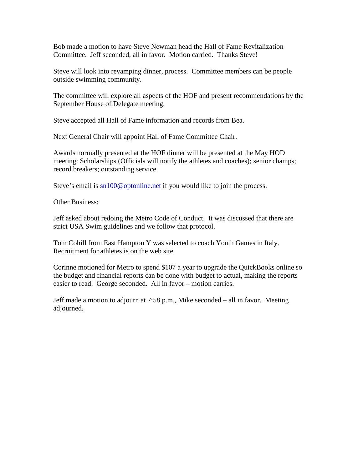Bob made a motion to have Steve Newman head the Hall of Fame Revitalization Committee. Jeff seconded, all in favor. Motion carried. Thanks Steve!

Steve will look into revamping dinner, process. Committee members can be people outside swimming community.

The committee will explore all aspects of the HOF and present recommendations by the September House of Delegate meeting.

Steve accepted all Hall of Fame information and records from Bea.

Next General Chair will appoint Hall of Fame Committee Chair.

Awards normally presented at the HOF dinner will be presented at the May HOD meeting: Scholarships (Officials will notify the athletes and coaches); senior champs; record breakers; outstanding service.

Steve's email is  $sn100@$  optonline.net if you would like to join the process.

Other Business:

Jeff asked about redoing the Metro Code of Conduct. It was discussed that there are strict USA Swim guidelines and we follow that protocol.

Tom Cohill from East Hampton Y was selected to coach Youth Games in Italy. Recruitment for athletes is on the web site.

Corinne motioned for Metro to spend \$107 a year to upgrade the QuickBooks online so the budget and financial reports can be done with budget to actual, making the reports easier to read. George seconded. All in favor – motion carries.

Jeff made a motion to adjourn at 7:58 p.m., Mike seconded – all in favor. Meeting adjourned.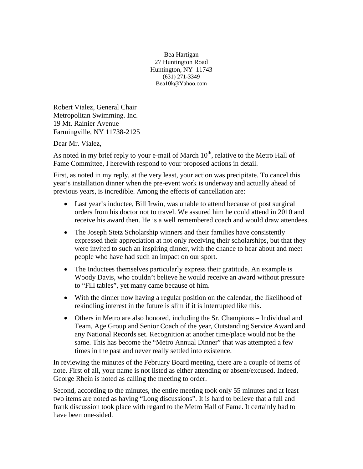Bea Hartigan 27 Huntington Road Huntington, NY 11743 (631) 271-3349 [Bea10k@Yahoo.com](mailto:Bea10k@Yahoo.com)

Robert Vialez, General Chair Metropolitan Swimming. Inc. 19 Mt. Rainier Avenue Farmingville, NY 11738-2125

Dear Mr. Vialez,

As noted in my brief reply to your e-mail of March  $10<sup>th</sup>$ , relative to the Metro Hall of Fame Committee, I herewith respond to your proposed actions in detail.

First, as noted in my reply, at the very least, your action was precipitate. To cancel this year's installation dinner when the pre-event work is underway and actually ahead of previous years, is incredible. Among the effects of cancellation are:

- Last year's inductee, Bill Irwin, was unable to attend because of post surgical orders from his doctor not to travel. We assured him he could attend in 2010 and receive his award then. He is a well remembered coach and would draw attendees.
- The Joseph Stetz Scholarship winners and their families have consistently expressed their appreciation at not only receiving their scholarships, but that they were invited to such an inspiring dinner, with the chance to hear about and meet people who have had such an impact on our sport.
- The Inductees themselves particularly express their gratitude. An example is Woody Davis, who couldn't believe he would receive an award without pressure to "Fill tables", yet many came because of him.
- With the dinner now having a regular position on the calendar, the likelihood of rekindling interest in the future is slim if it is interrupted like this.
- Others in Metro are also honored, including the Sr. Champions Individual and Team, Age Group and Senior Coach of the year, Outstanding Service Award and any National Records set. Recognition at another time/place would not be the same. This has become the "Metro Annual Dinner" that was attempted a few times in the past and never really settled into existence.

In reviewing the minutes of the February Board meeting, there are a couple of items of note. First of all, your name is not listed as either attending or absent/excused. Indeed, George Rhein is noted as calling the meeting to order.

Second, according to the minutes, the entire meeting took only 55 minutes and at least two items are noted as having "Long discussions". It is hard to believe that a full and frank discussion took place with regard to the Metro Hall of Fame. It certainly had to have been one-sided.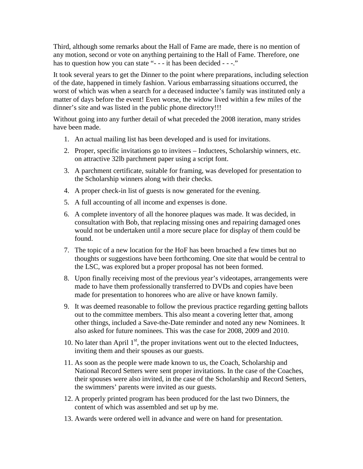Third, although some remarks about the Hall of Fame are made, there is no mention of any motion, second or vote on anything pertaining to the Hall of Fame. Therefore, one has to question how you can state "- - - it has been decided - - -."

It took several years to get the Dinner to the point where preparations, including selection of the date, happened in timely fashion. Various embarrassing situations occurred, the worst of which was when a search for a deceased inductee's family was instituted only a matter of days before the event! Even worse, the widow lived within a few miles of the dinner's site and was listed in the public phone directory!!!

Without going into any further detail of what preceded the 2008 iteration, many strides have been made.

- 1. An actual mailing list has been developed and is used for invitations.
- 2. Proper, specific invitations go to invitees Inductees, Scholarship winners, etc. on attractive 32lb parchment paper using a script font.
- 3. A parchment certificate, suitable for framing, was developed for presentation to the Scholarship winners along with their checks.
- 4. A proper check-in list of guests is now generated for the evening.
- 5. A full accounting of all income and expenses is done.
- 6. A complete inventory of all the honoree plaques was made. It was decided, in consultation with Bob, that replacing missing ones and repairing damaged ones would not be undertaken until a more secure place for display of them could be found.
- 7. The topic of a new location for the HoF has been broached a few times but no thoughts or suggestions have been forthcoming. One site that would be central to the LSC, was explored but a proper proposal has not been formed.
- 8. Upon finally receiving most of the previous year's videotapes, arrangements were made to have them professionally transferred to DVDs and copies have been made for presentation to honorees who are alive or have known family.
- 9. It was deemed reasonable to follow the previous practice regarding getting ballots out to the committee members. This also meant a covering letter that, among other things, included a Save-the-Date reminder and noted any new Nominees. It also asked for future nominees. This was the case for 2008, 2009 and 2010.
- 10. No later than April  $1<sup>st</sup>$ , the proper invitations went out to the elected Inductees, inviting them and their spouses as our guests.
- 11. As soon as the people were made known to us, the Coach, Scholarship and National Record Setters were sent proper invitations. In the case of the Coaches, their spouses were also invited, in the case of the Scholarship and Record Setters, the swimmers' parents were invited as our guests.
- 12. A properly printed program has been produced for the last two Dinners, the content of which was assembled and set up by me.
- 13. Awards were ordered well in advance and were on hand for presentation.